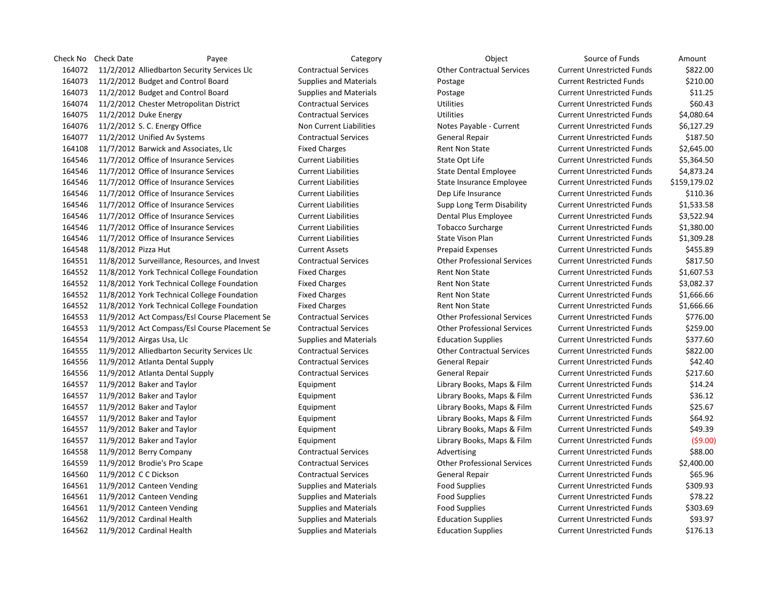Check No Check Date Payee Payee Category Category Check No Check No Cource of Funds Amount 11/2/2012 Alliedbarton Security Services Llc Contractual Services Other Contractual Services Current Unrestricted Funds \$822.00 11/2/2012 Budget and Control Board Supplies and Materials Postage Current Restricted Funds \$210.00 11/2/2012 Budget and Control Board Supplies and Materials Postage Current Unrestricted Funds \$11.25 11/2/2012 Chester Metropolitan District Contractual Services Utilities Current Unrestricted Funds \$60.43 11/2/2012 Duke Energy Contractual Services Utilities Current Unrestricted Funds \$4,080.64 11/2/2012 S. C. Energy Office Non Current Liabilities Notes Payable - Current Current Unrestricted Funds \$6,127.29 11/2/2012 Unified Av Systems Contractual Services General Repair Current Unrestricted Funds \$187.50 11/7/2012 Barwick and Associates, Llc Fixed Charges Rent Non State Current Unrestricted Funds \$2,645.00 164546 11/7/2012 Office of Insurance Services Current Liabilities State Opt Life Current Unrestricted Funds \$5,364.50 11/7/2012 Office of Insurance Services Current Liabilities State Dental Employee Current Unrestricted Funds \$4,873.24 11/7/2012 Office of Insurance Services Current Liabilities State Insurance Employee Current Unrestricted Funds \$159,179.02 11/7/2012 Office of Insurance Services Current Liabilities Dep Life Insurance Current Unrestricted Funds \$110.36 11/7/2012 Office of Insurance Services Current Liabilities Supp Long Term Disability Current Unrestricted Funds \$1,533.58 11/7/2012 Office of Insurance Services Current Liabilities Dental Plus Employee Current Unrestricted Funds \$3,522.94 11/7/2012 Office of Insurance Services Current Liabilities Tobacco Surcharge Current Unrestricted Funds \$1,380.00 11/7/2012 Office of Insurance Services Current Liabilities State Vison Plan Current Unrestricted Funds \$1,309.28 11/8/2012 Pizza Hut Current Assets Prepaid Expenses Current Unrestricted Funds \$455.89 11/8/2012 Surveillance, Resources, and Invest Contractual Services Other Professional Services Current Unrestricted Funds \$817.50 164552 11/8/2012 York Technical College Foundation Fixed Charges Rent Non State Current Unrestricted Funds \$1,607.53 164552 11/8/2012 York Technical College Foundation Fixed Charges Rent Non State Current Unrestricted Funds \$3,082.37 164552 11/8/2012 York Technical College Foundation Fixed Charges Rent Non State Current Unrestricted Funds \$1,666.66 164552 11/8/2012 York Technical College Foundation Fixed Charges Rent Non State Current Unrestricted Funds \$1,666.66 11/9/2012 Act Compass/Esl Course Placement Se Contractual Services Other Professional Services Current Unrestricted Funds \$776.00 11/9/2012 Act Compass/Esl Course Placement Se Contractual Services Other Professional Services Current Unrestricted Funds \$259.00 11/9/2012 Airgas Usa, Llc Supplies and Materials Education Supplies Current Unrestricted Funds \$377.60 11/9/2012 Alliedbarton Security Services Llc Contractual Services Other Contractual Services Current Unrestricted Funds \$822.00 11/9/2012 Atlanta Dental Supply Contractual Services General Repair Current Unrestricted Funds \$42.40 11/9/2012 Atlanta Dental Supply Contractual Services General Repair Current Unrestricted Funds \$217.60 11/9/2012 Baker and Taylor Equipment Library Books, Maps & Film Current Unrestricted Funds \$14.24 11/9/2012 Baker and Taylor Equipment Library Books, Maps & Film Current Unrestricted Funds \$36.12 11/9/2012 Baker and Taylor Equipment Library Books, Maps & Film Current Unrestricted Funds \$25.67 11/9/2012 Baker and Taylor Equipment Library Books, Maps & Film Current Unrestricted Funds \$64.92 11/9/2012 Baker and Taylor Equipment Library Books, Maps & Film Current Unrestricted Funds \$49.39 11/9/2012 Baker and Taylor Equipment Library Books, Maps & Film Current Unrestricted Funds (\$9.00) 164558 11/9/2012 Berry Company Communicatual Services Advertising Current Unrestricted Funds \$88.00 11/9/2012 Brodie's Pro Scape Contractual Services Other Professional Services Current Unrestricted Funds \$2,400.00 11/9/2012 C C Dickson Contractual Services General Repair Current Unrestricted Funds \$65.96 11/9/2012 Canteen Vending Supplies and Materials Food Supplies Current Unrestricted Funds \$309.93 11/9/2012 Canteen Vending Supplies and Materials Food Supplies Current Unrestricted Funds \$78.22 11/9/2012 Canteen Vending Supplies and Materials Food Supplies Current Unrestricted Funds \$303.69 11/9/2012 Cardinal Health Supplies and Materials Education Supplies Current Unrestricted Funds \$93.97 11/9/2012 Cardinal Health Supplies and Materials Education Supplies Current Unrestricted Funds \$176.13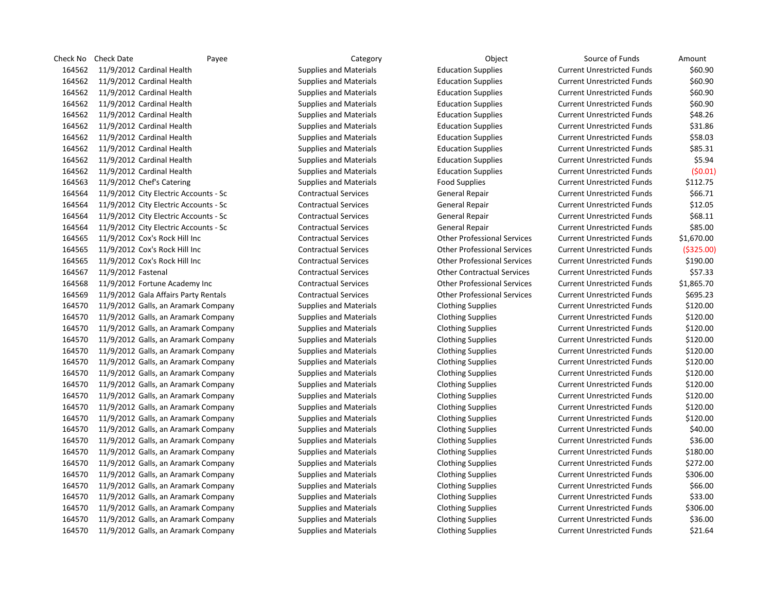Check No Check Date Payee Payee Category Category Check No Check No Cource of Funds Amount 11/9/2012 Cardinal Health Supplies and Materials Education Supplies Current Unrestricted Funds \$60.90 11/9/2012 Cardinal Health Supplies and Materials Education Supplies Current Unrestricted Funds \$60.90 11/9/2012 Cardinal Health Supplies and Materials Education Supplies Current Unrestricted Funds \$60.90 11/9/2012 Cardinal Health Supplies and Materials Education Supplies Current Unrestricted Funds \$60.90 11/9/2012 Cardinal Health Supplies and Materials Education Supplies Current Unrestricted Funds \$48.26 11/9/2012 Cardinal Health Supplies and Materials Education Supplies Current Unrestricted Funds \$31.86 11/9/2012 Cardinal Health Supplies and Materials Education Supplies Current Unrestricted Funds \$58.03 11/9/2012 Cardinal Health Supplies and Materials Education Supplies Current Unrestricted Funds \$85.31 11/9/2012 Cardinal Health Supplies and Materials Education Supplies Current Unrestricted Funds \$5.94 11/9/2012 Cardinal Health Supplies and Materials Education Supplies Current Unrestricted Funds (\$0.01) 11/9/2012 Chef's Catering Supplies and Materials Food Supplies Current Unrestricted Funds \$112.75 11/9/2012 City Electric Accounts - Sc Contractual Services General Repair Current Unrestricted Funds \$66.71 11/9/2012 City Electric Accounts - Sc Contractual Services General Repair Current Unrestricted Funds \$12.05 11/9/2012 City Electric Accounts - Sc Contractual Services General Repair Current Unrestricted Funds \$68.11 11/9/2012 City Electric Accounts - Sc Contractual Services General Repair Current Unrestricted Funds \$85.00 11/9/2012 Cox's Rock Hill Inc Contractual Services Other Professional Services Current Unrestricted Funds \$1,670.00 11/9/2012 Cox's Rock Hill Inc Contractual Services Other Professional Services Current Unrestricted Funds (\$325.00) 11/9/2012 Cox's Rock Hill Inc Contractual Services Other Professional Services Current Unrestricted Funds \$190.00 11/9/2012 Fastenal Contractual Services Other Contractual Services Current Unrestricted Funds \$57.33 11/9/2012 Fortune Academy Inc Contractual Services Other Professional Services Current Unrestricted Funds \$1,865.70 11/9/2012 Gala Affairs Party Rentals Contractual Services Other Professional Services Current Unrestricted Funds \$695.23 11/9/2012 Galls, an Aramark Company Supplies and Materials Clothing Supplies Current Unrestricted Funds \$120.00 11/9/2012 Galls, an Aramark Company Supplies and Materials Clothing Supplies Current Unrestricted Funds \$120.00 11/9/2012 Galls, an Aramark Company Supplies and Materials Clothing Supplies Current Unrestricted Funds \$120.00 11/9/2012 Galls, an Aramark Company Supplies and Materials Clothing Supplies Current Unrestricted Funds \$120.00 11/9/2012 Galls, an Aramark Company Supplies and Materials Clothing Supplies Current Unrestricted Funds \$120.00 11/9/2012 Galls, an Aramark Company Supplies and Materials Clothing Supplies Current Unrestricted Funds \$120.00 11/9/2012 Galls, an Aramark Company Supplies and Materials Clothing Supplies Current Unrestricted Funds \$120.00 11/9/2012 Galls, an Aramark Company Supplies and Materials Clothing Supplies Current Unrestricted Funds \$120.00 11/9/2012 Galls, an Aramark Company Supplies and Materials Clothing Supplies Current Unrestricted Funds \$120.00 11/9/2012 Galls, an Aramark Company Supplies and Materials Clothing Supplies Current Unrestricted Funds \$120.00 11/9/2012 Galls, an Aramark Company Supplies and Materials Clothing Supplies Current Unrestricted Funds \$120.00 11/9/2012 Galls, an Aramark Company Supplies and Materials Clothing Supplies Current Unrestricted Funds \$40.00 11/9/2012 Galls, an Aramark Company Supplies and Materials Clothing Supplies Current Unrestricted Funds \$36.00 11/9/2012 Galls, an Aramark Company Supplies and Materials Clothing Supplies Current Unrestricted Funds \$180.00 11/9/2012 Galls, an Aramark Company Supplies and Materials Clothing Supplies Current Unrestricted Funds \$272.00 11/9/2012 Galls, an Aramark Company Supplies and Materials Clothing Supplies Current Unrestricted Funds \$306.00 11/9/2012 Galls, an Aramark Company Supplies and Materials Clothing Supplies Current Unrestricted Funds \$66.00 11/9/2012 Galls, an Aramark Company Supplies and Materials Clothing Supplies Current Unrestricted Funds \$33.00 11/9/2012 Galls, an Aramark Company Supplies and Materials Clothing Supplies Current Unrestricted Funds \$306.00 11/9/2012 Galls, an Aramark Company Supplies and Materials Clothing Supplies Current Unrestricted Funds \$36.00

11/9/2012 Galls, an Aramark Company Supplies and Materials Clothing Supplies Current Unrestricted Funds \$21.64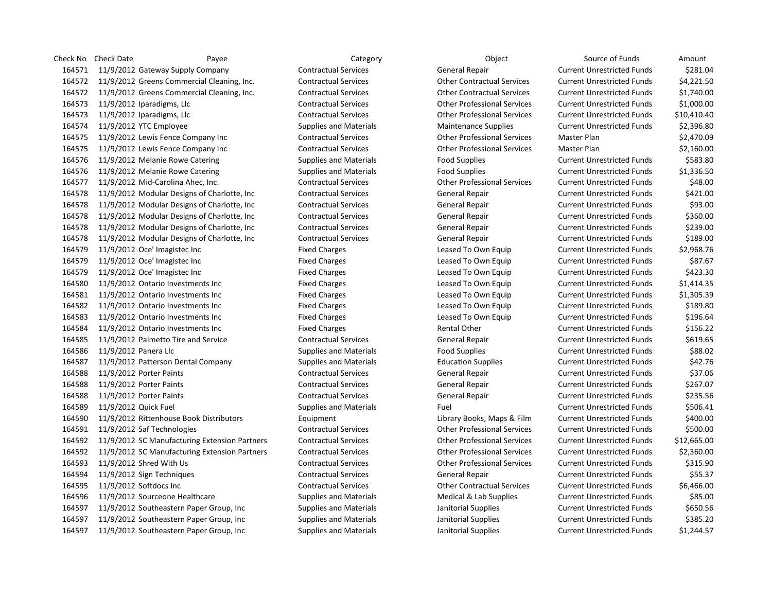| Check No | Check Date<br>Payee                           | Category                      | Object                             | Source of Funds                   | Amount      |
|----------|-----------------------------------------------|-------------------------------|------------------------------------|-----------------------------------|-------------|
| 164571   | 11/9/2012 Gateway Supply Company              | <b>Contractual Services</b>   | General Repair                     | <b>Current Unrestricted Funds</b> | \$281.04    |
| 164572   | 11/9/2012 Greens Commercial Cleaning, Inc.    | <b>Contractual Services</b>   | <b>Other Contractual Services</b>  | <b>Current Unrestricted Funds</b> | \$4,221.50  |
| 164572   | 11/9/2012 Greens Commercial Cleaning, Inc.    | <b>Contractual Services</b>   | <b>Other Contractual Services</b>  | <b>Current Unrestricted Funds</b> | \$1,740.00  |
| 164573   | 11/9/2012 Iparadigms, Llc                     | <b>Contractual Services</b>   | <b>Other Professional Services</b> | <b>Current Unrestricted Funds</b> | \$1,000.00  |
| 164573   | 11/9/2012 Iparadigms, Llc                     | <b>Contractual Services</b>   | <b>Other Professional Services</b> | <b>Current Unrestricted Funds</b> | \$10,410.40 |
| 164574   | 11/9/2012 YTC Employee                        | <b>Supplies and Materials</b> | <b>Maintenance Supplies</b>        | <b>Current Unrestricted Funds</b> | \$2,396.80  |
| 164575   | 11/9/2012 Lewis Fence Company Inc             | <b>Contractual Services</b>   | <b>Other Professional Services</b> | <b>Master Plan</b>                | \$2,470.09  |
| 164575   | 11/9/2012 Lewis Fence Company Inc             | <b>Contractual Services</b>   | <b>Other Professional Services</b> | <b>Master Plan</b>                | \$2,160.00  |
| 164576   | 11/9/2012 Melanie Rowe Catering               | <b>Supplies and Materials</b> | <b>Food Supplies</b>               | <b>Current Unrestricted Funds</b> | \$583.80    |
| 164576   | 11/9/2012 Melanie Rowe Catering               | <b>Supplies and Materials</b> | <b>Food Supplies</b>               | <b>Current Unrestricted Funds</b> | \$1,336.50  |
| 164577   | 11/9/2012 Mid-Carolina Ahec, Inc.             | <b>Contractual Services</b>   | <b>Other Professional Services</b> | <b>Current Unrestricted Funds</b> | \$48.00     |
| 164578   | 11/9/2012 Modular Designs of Charlotte, Inc   | <b>Contractual Services</b>   | <b>General Repair</b>              | <b>Current Unrestricted Funds</b> | \$421.00    |
| 164578   | 11/9/2012 Modular Designs of Charlotte, Inc.  | <b>Contractual Services</b>   | General Repair                     | <b>Current Unrestricted Funds</b> | \$93.00     |
| 164578   | 11/9/2012 Modular Designs of Charlotte, Inc.  | <b>Contractual Services</b>   | General Repair                     | <b>Current Unrestricted Funds</b> | \$360.00    |
| 164578   | 11/9/2012 Modular Designs of Charlotte, Inc.  | <b>Contractual Services</b>   | General Repair                     | <b>Current Unrestricted Funds</b> | \$239.00    |
| 164578   | 11/9/2012 Modular Designs of Charlotte, Inc.  | <b>Contractual Services</b>   | General Repair                     | <b>Current Unrestricted Funds</b> | \$189.00    |
| 164579   | 11/9/2012 Oce' Imagistec Inc                  | <b>Fixed Charges</b>          | Leased To Own Equip                | <b>Current Unrestricted Funds</b> | \$2,968.76  |
| 164579   | 11/9/2012 Oce' Imagistec Inc                  | <b>Fixed Charges</b>          | Leased To Own Equip                | <b>Current Unrestricted Funds</b> | \$87.67     |
| 164579   | 11/9/2012 Oce' Imagistec Inc                  | <b>Fixed Charges</b>          | Leased To Own Equip                | <b>Current Unrestricted Funds</b> | \$423.30    |
| 164580   | 11/9/2012 Ontario Investments Inc             | <b>Fixed Charges</b>          | Leased To Own Equip                | <b>Current Unrestricted Funds</b> | \$1,414.35  |
| 164581   | 11/9/2012 Ontario Investments Inc             | <b>Fixed Charges</b>          | Leased To Own Equip                | <b>Current Unrestricted Funds</b> | \$1,305.39  |
| 164582   | 11/9/2012 Ontario Investments Inc             | <b>Fixed Charges</b>          | Leased To Own Equip                | <b>Current Unrestricted Funds</b> | \$189.80    |
| 164583   | 11/9/2012 Ontario Investments Inc             | <b>Fixed Charges</b>          | Leased To Own Equip                | <b>Current Unrestricted Funds</b> | \$196.64    |
| 164584   | 11/9/2012 Ontario Investments Inc             | <b>Fixed Charges</b>          | <b>Rental Other</b>                | <b>Current Unrestricted Funds</b> | \$156.22    |
| 164585   | 11/9/2012 Palmetto Tire and Service           | <b>Contractual Services</b>   | <b>General Repair</b>              | <b>Current Unrestricted Funds</b> | \$619.65    |
| 164586   | 11/9/2012 Panera Llc                          | <b>Supplies and Materials</b> | <b>Food Supplies</b>               | <b>Current Unrestricted Funds</b> | \$88.02     |
| 164587   | 11/9/2012 Patterson Dental Company            | <b>Supplies and Materials</b> | <b>Education Supplies</b>          | <b>Current Unrestricted Funds</b> | \$42.76     |
| 164588   | 11/9/2012 Porter Paints                       | <b>Contractual Services</b>   | <b>General Repair</b>              | <b>Current Unrestricted Funds</b> | \$37.06     |
| 164588   | 11/9/2012 Porter Paints                       | <b>Contractual Services</b>   | <b>General Repair</b>              | <b>Current Unrestricted Funds</b> | \$267.07    |
| 164588   | 11/9/2012 Porter Paints                       | <b>Contractual Services</b>   | <b>General Repair</b>              | <b>Current Unrestricted Funds</b> | \$235.56    |
| 164589   | 11/9/2012 Quick Fuel                          | <b>Supplies and Materials</b> | Fuel                               | <b>Current Unrestricted Funds</b> | \$506.41    |
| 164590   | 11/9/2012 Rittenhouse Book Distributors       | Equipment                     | Library Books, Maps & Film         | <b>Current Unrestricted Funds</b> | \$400.00    |
| 164591   | 11/9/2012 Saf Technologies                    | <b>Contractual Services</b>   | <b>Other Professional Services</b> | <b>Current Unrestricted Funds</b> | \$500.00    |
| 164592   | 11/9/2012 SC Manufacturing Extension Partners | <b>Contractual Services</b>   | <b>Other Professional Services</b> | <b>Current Unrestricted Funds</b> | \$12,665.00 |
| 164592   | 11/9/2012 SC Manufacturing Extension Partners | <b>Contractual Services</b>   | <b>Other Professional Services</b> | <b>Current Unrestricted Funds</b> | \$2,360.00  |
| 164593   | 11/9/2012 Shred With Us                       | <b>Contractual Services</b>   | <b>Other Professional Services</b> | <b>Current Unrestricted Funds</b> | \$315.90    |
| 164594   | 11/9/2012 Sign Techniques                     | <b>Contractual Services</b>   | General Repair                     | <b>Current Unrestricted Funds</b> | \$55.37     |
| 164595   | 11/9/2012 Softdocs Inc                        | <b>Contractual Services</b>   | <b>Other Contractual Services</b>  | <b>Current Unrestricted Funds</b> | \$6,466.00  |
| 164596   | 11/9/2012 Sourceone Healthcare                | <b>Supplies and Materials</b> | Medical & Lab Supplies             | <b>Current Unrestricted Funds</b> | \$85.00     |
| 164597   | 11/9/2012 Southeastern Paper Group, Inc       | <b>Supplies and Materials</b> | Janitorial Supplies                | <b>Current Unrestricted Funds</b> | \$650.56    |
| 164597   | 11/9/2012 Southeastern Paper Group, Inc.      | <b>Supplies and Materials</b> | Janitorial Supplies                | <b>Current Unrestricted Funds</b> | \$385.20    |
| 164597   | 11/9/2012 Southeastern Paper Group, Inc.      | <b>Supplies and Materials</b> | Janitorial Supplies                | <b>Current Unrestricted Funds</b> | \$1.244.57  |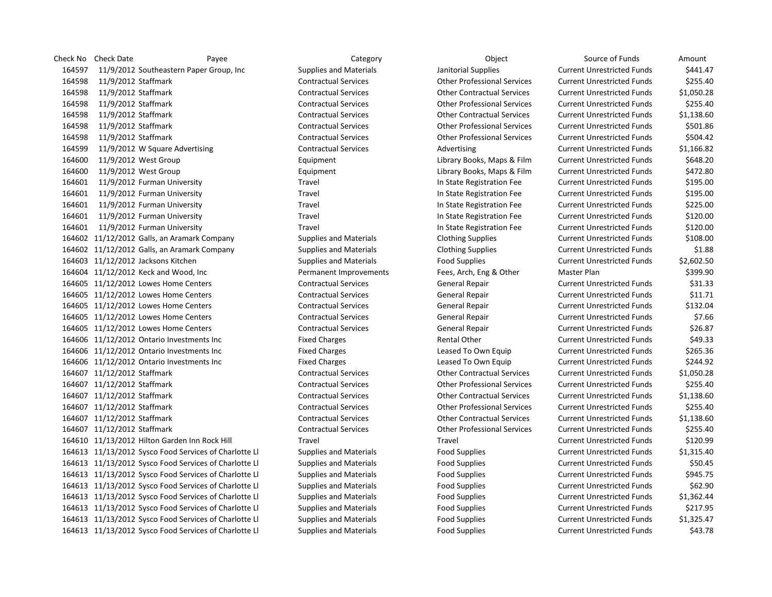Check No Check Date Payee Payee Category Category Check No Check No Cource of Funds Amount 11/9/2012 Southeastern Paper Group, Inc Supplies and Materials Janitorial Supplies Current Unrestricted Funds \$441.47 11/9/2012 Staffmark Contractual Services Other Professional Services Current Unrestricted Funds \$255.40 11/9/2012 Staffmark Contractual Services Other Contractual Services Current Unrestricted Funds \$1,050.28 11/9/2012 Staffmark Contractual Services Other Professional Services Current Unrestricted Funds \$255.40 11/9/2012 Staffmark Contractual Services Other Contractual Services Current Unrestricted Funds \$1,138.60 11/9/2012 Staffmark Contractual Services Other Professional Services Current Unrestricted Funds \$501.86 11/9/2012 Staffmark Contractual Services Other Professional Services Current Unrestricted Funds \$504.42 11/9/2012 W Square Advertising Contractual Services Advertising Current Unrestricted Funds \$1,166.82 11/9/2012 West Group Equipment Library Books, Maps & Film Current Unrestricted Funds \$648.20 11/9/2012 West Group Equipment Library Books, Maps & Film Current Unrestricted Funds \$472.80 11/9/2012 Furman University Travel In State Registration Fee Current Unrestricted Funds \$195.00 11/9/2012 Furman University Travel In State Registration Fee Current Unrestricted Funds \$195.00 11/9/2012 Furman University Travel In State Registration Fee Current Unrestricted Funds \$225.00 11/9/2012 Furman University Travel In State Registration Fee Current Unrestricted Funds \$120.00 11/9/2012 Furman University Travel In State Registration Fee Current Unrestricted Funds \$120.00 11/12/2012 Galls, an Aramark Company Supplies and Materials Clothing Supplies Current Unrestricted Funds \$108.00 11/12/2012 Galls, an Aramark Company Supplies and Materials Clothing Supplies Current Unrestricted Funds \$1.88 11/12/2012 Jacksons Kitchen Supplies and Materials Food Supplies Current Unrestricted Funds \$2,602.50 11/12/2012 Keck and Wood, Inc Permanent Improvements Fees, Arch, Eng & Other Master Plan \$399.90 164605 11/12/2012 Lowes Home Centers Contractual Services General Repair Current Unrestricted Funds \$31.33 11/12/2012 Lowes Home Centers Contractual Services General Repair Current Unrestricted Funds \$11.71 11/12/2012 Lowes Home Centers Contractual Services General Repair Current Unrestricted Funds \$132.04 164605 11/12/2012 Lowes Home Centers Contractual Services General Repair Current Unrestricted Funds \$7.66 11/12/2012 Lowes Home Centers Contractual Services General Repair Current Unrestricted Funds \$26.87 11/12/2012 Ontario Investments Inc Fixed Charges Rental Other Current Unrestricted Funds \$49.33 11/12/2012 Ontario Investments Inc Fixed Charges Leased To Own Equip Current Unrestricted Funds \$265.36 11/12/2012 Ontario Investments Inc Fixed Charges Leased To Own Equip Current Unrestricted Funds \$244.92 11/12/2012 Staffmark Contractual Services Other Contractual Services Current Unrestricted Funds \$1,050.28 11/12/2012 Staffmark Contractual Services Other Professional Services Current Unrestricted Funds \$255.40 11/12/2012 Staffmark Contractual Services Other Contractual Services Current Unrestricted Funds \$1,138.60 11/12/2012 Staffmark Contractual Services Other Professional Services Current Unrestricted Funds \$255.40 11/12/2012 Staffmark Contractual Services Other Contractual Services Current Unrestricted Funds \$1,138.60 11/12/2012 Staffmark Contractual Services Other Professional Services Current Unrestricted Funds \$255.40 11/13/2012 Hilton Garden Inn Rock Hill Travel Travel Current Unrestricted Funds \$120.99 11/13/2012 Sysco Food Services of Charlotte Ll Supplies and Materials Food Supplies Current Unrestricted Funds \$1,315.40 11/13/2012 Sysco Food Services of Charlotte Ll Supplies and Materials Food Supplies Current Unrestricted Funds \$50.45 11/13/2012 Sysco Food Services of Charlotte Ll Supplies and Materials Food Supplies Current Unrestricted Funds \$945.75 11/13/2012 Sysco Food Services of Charlotte Ll Supplies and Materials Food Supplies Current Unrestricted Funds \$62.90 11/13/2012 Sysco Food Services of Charlotte Ll Supplies and Materials Food Supplies Current Unrestricted Funds \$1,362.44 11/13/2012 Sysco Food Services of Charlotte Ll Supplies and Materials Food Supplies Current Unrestricted Funds \$217.95 11/13/2012 Sysco Food Services of Charlotte Ll Supplies and Materials Food Supplies Current Unrestricted Funds \$1,325.47

11/13/2012 Sysco Food Services of Charlotte Ll Supplies and Materials Food Supplies Current Unrestricted Funds \$43.78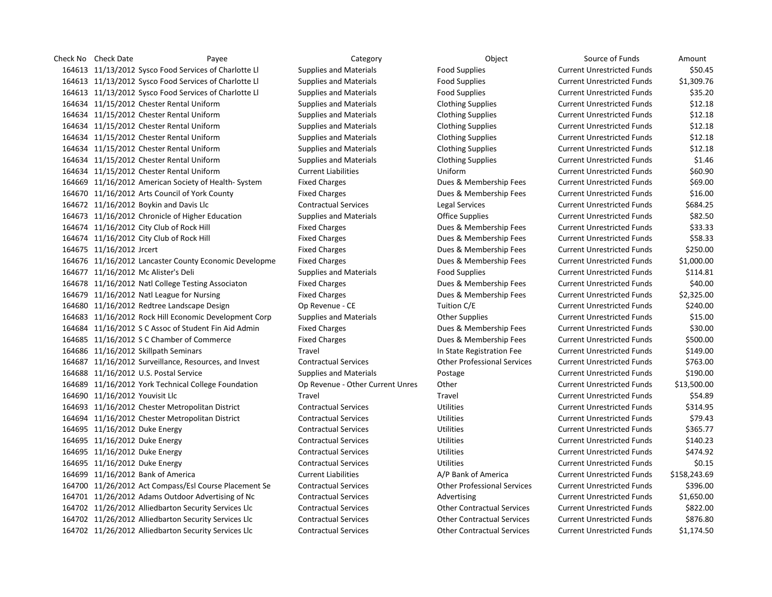Check No Check Date Payee Payee Category Category Check No Check No Cource of Funds Amount 11/13/2012 Sysco Food Services of Charlotte Ll Supplies and Materials Food Supplies Current Unrestricted Funds \$50.45 11/13/2012 Sysco Food Services of Charlotte Ll Supplies and Materials Food Supplies Current Unrestricted Funds \$1,309.76 11/13/2012 Sysco Food Services of Charlotte Ll Supplies and Materials Food Supplies Current Unrestricted Funds \$35.20 11/15/2012 Chester Rental Uniform Supplies and Materials Clothing Supplies Current Unrestricted Funds \$12.18 11/15/2012 Chester Rental Uniform Supplies and Materials Clothing Supplies Current Unrestricted Funds \$12.18 11/15/2012 Chester Rental Uniform Supplies and Materials Clothing Supplies Current Unrestricted Funds \$12.18 11/15/2012 Chester Rental Uniform Supplies and Materials Clothing Supplies Current Unrestricted Funds \$12.18 11/15/2012 Chester Rental Uniform Supplies and Materials Clothing Supplies Current Unrestricted Funds \$12.18 11/15/2012 Chester Rental Uniform Supplies and Materials Clothing Supplies Current Unrestricted Funds \$1.46 11/15/2012 Chester Rental Uniform Current Liabilities Uniform Current Unrestricted Funds \$60.90 11/16/2012 American Society of Health- System Fixed Charges Dues & Membership Fees Current Unrestricted Funds \$69.00 11/16/2012 Arts Council of York County Fixed Charges Dues & Membership Fees Current Unrestricted Funds \$16.00 11/16/2012 Boykin and Davis Llc Contractual Services Legal Services Current Unrestricted Funds \$684.25 11/16/2012 Chronicle of Higher Education Supplies and Materials Office Supplies Current Unrestricted Funds \$82.50 11/16/2012 City Club of Rock Hill Fixed Charges Dues & Membership Fees Current Unrestricted Funds \$33.33 11/16/2012 City Club of Rock Hill Fixed Charges Dues & Membership Fees Current Unrestricted Funds \$58.33 164675 11/16/2012 Jrcert **Example 2012 164675 11/16/2012** Jrcert Current Unrestricted Funds 5250.00 11/16/2012 Lancaster County Economic Developme Fixed Charges Dues & Membership Fees Current Unrestricted Funds \$1,000.00 164677 11/16/2012 Mc Alister's Deli Supplies and Materials Food Supplies Food Supplies Current Unrestricted Funds \$114.81 11/16/2012 Natl College Testing Associaton Fixed Charges Dues & Membership Fees Current Unrestricted Funds \$40.00 11/16/2012 Natl League for Nursing Fixed Charges Dues & Membership Fees Current Unrestricted Funds \$2,325.00 11/16/2012 Redtree Landscape Design Op Revenue - CE Tuition C/E Current Unrestricted Funds \$240.00 11/16/2012 Rock Hill Economic Development Corp Supplies and Materials Other Supplies Current Unrestricted Funds \$15.00 11/16/2012 S C Assoc of Student Fin Aid Admin Fixed Charges Dues & Membership Fees Current Unrestricted Funds \$30.00 11/16/2012 S C Chamber of Commerce Fixed Charges Dues & Membership Fees Current Unrestricted Funds \$500.00 11/16/2012 Skillpath Seminars Travel In State Registration Fee Current Unrestricted Funds \$149.00 11/16/2012 Surveillance, Resources, and Invest Contractual Services Other Professional Services Current Unrestricted Funds \$763.00 11/16/2012 U.S. Postal Service Supplies and Materials Postage Current Unrestricted Funds \$190.00 11/16/2012 York Technical College Foundation Op Revenue - Other Current Unres Other Current Unrestricted Funds \$13,500.00 11/16/2012 Youvisit Llc Travel Travel Current Unrestricted Funds \$54.89 11/16/2012 Chester Metropolitan District Contractual Services Utilities Current Unrestricted Funds \$314.95 11/16/2012 Chester Metropolitan District Contractual Services Utilities Current Unrestricted Funds \$79.43 11/16/2012 Duke Energy Contractual Services Utilities Current Unrestricted Funds \$365.77 11/16/2012 Duke Energy Contractual Services Utilities Current Unrestricted Funds \$140.23 11/16/2012 Duke Energy Contractual Services Utilities Current Unrestricted Funds \$474.92 11/16/2012 Duke Energy Contractual Services Utilities Current Unrestricted Funds \$0.15 11/16/2012 Bank of America Current Liabilities A/P Bank of America Current Unrestricted Funds \$158,243.69 11/26/2012 Act Compass/Esl Course Placement Se Contractual Services Other Professional Services Current Unrestricted Funds \$396.00 11/26/2012 Adams Outdoor Advertising of Nc Contractual Services Advertising Current Unrestricted Funds \$1,650.00 11/26/2012 Alliedbarton Security Services Llc Contractual Services Other Contractual Services Current Unrestricted Funds \$822.00 11/26/2012 Alliedbarton Security Services Llc Contractual Services Other Contractual Services Current Unrestricted Funds \$876.80 11/26/2012 Alliedbarton Security Services Llc Contractual Services Other Contractual Services Current Unrestricted Funds \$1,174.50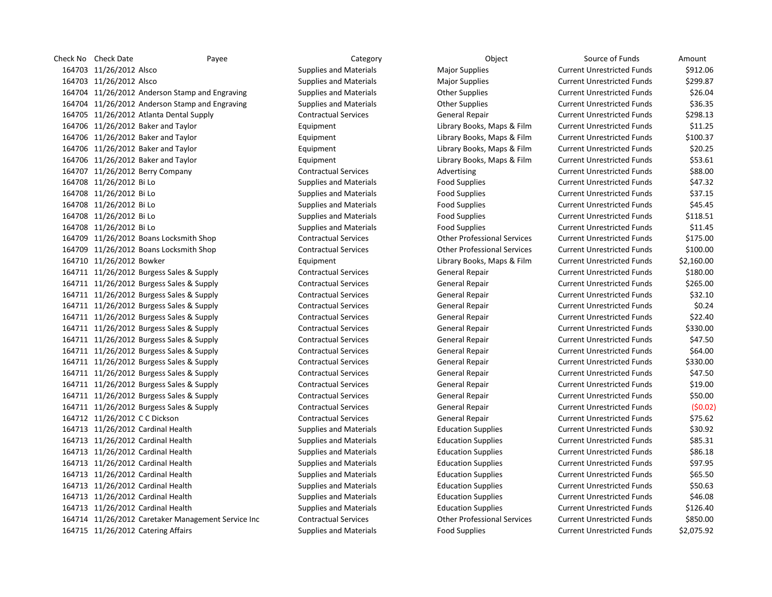Check No Check Date Payee Payee Category Category Check No Check No Cource of Funds Amount 164703 11/26/2012 Alsco Supplies and Materials Major Supplies Magior Supplies Current Unrestricted Funds \$912.06 164703 11/26/2012 Alsco Supplies and Materials Major Supplies Magior Supplies Current Unrestricted Funds \$299.87 11/26/2012 Anderson Stamp and Engraving Supplies and Materials Other Supplies Current Unrestricted Funds \$26.04 11/26/2012 Anderson Stamp and Engraving Supplies and Materials Other Supplies Current Unrestricted Funds \$36.35 11/26/2012 Atlanta Dental Supply Contractual Services General Repair Current Unrestricted Funds \$298.13 11/26/2012 Baker and Taylor Equipment Library Books, Maps & Film Current Unrestricted Funds \$11.25 164706 11/26/2012 Baker and Taylor Current Library Books, Maps & Film Current Unrestricted Funds 5100.37 11/26/2012 Baker and Taylor Equipment Library Books, Maps & Film Current Unrestricted Funds \$20.25 11/26/2012 Baker and Taylor Equipment Library Books, Maps & Film Current Unrestricted Funds \$53.61 164707 11/26/2012 Berry Company Communicatual Services Advertising Current Unrestricted Funds \$88.00 11/26/2012 Bi Lo Supplies and Materials Food Supplies Current Unrestricted Funds \$47.32 11/26/2012 Bi Lo Supplies and Materials Food Supplies Current Unrestricted Funds \$37.15 11/26/2012 Bi Lo Supplies and Materials Food Supplies Current Unrestricted Funds \$45.45 11/26/2012 Bi Lo Supplies and Materials Food Supplies Current Unrestricted Funds \$118.51 11/26/2012 Bi Lo Supplies and Materials Food Supplies Current Unrestricted Funds \$11.45 11/26/2012 Boans Locksmith Shop Contractual Services Other Professional Services Current Unrestricted Funds \$175.00 11/26/2012 Boans Locksmith Shop Contractual Services Other Professional Services Current Unrestricted Funds \$100.00 11/26/2012 Bowker Equipment Library Books, Maps & Film Current Unrestricted Funds \$2,160.00 11/26/2012 Burgess Sales & Supply Contractual Services General Repair Current Unrestricted Funds \$180.00 11/26/2012 Burgess Sales & Supply Contractual Services General Repair Current Unrestricted Funds \$265.00 11/26/2012 Burgess Sales & Supply Contractual Services General Repair Current Unrestricted Funds \$32.10 11/26/2012 Burgess Sales & Supply Contractual Services General Repair Current Unrestricted Funds \$0.24 11/26/2012 Burgess Sales & Supply Contractual Services General Repair Current Unrestricted Funds \$22.40 11/26/2012 Burgess Sales & Supply Contractual Services General Repair Current Unrestricted Funds \$330.00 11/26/2012 Burgess Sales & Supply Contractual Services General Repair Current Unrestricted Funds \$47.50 11/26/2012 Burgess Sales & Supply Contractual Services General Repair Current Unrestricted Funds \$64.00 11/26/2012 Burgess Sales & Supply Contractual Services General Repair Current Unrestricted Funds \$330.00 11/26/2012 Burgess Sales & Supply Contractual Services General Repair Current Unrestricted Funds \$47.50 11/26/2012 Burgess Sales & Supply Contractual Services General Repair Current Unrestricted Funds \$19.00 11/26/2012 Burgess Sales & Supply Contractual Services General Repair Current Unrestricted Funds \$50.00 11/26/2012 Burgess Sales & Supply Contractual Services General Repair Current Unrestricted Funds (\$0.02) 11/26/2012 C C Dickson Contractual Services General Repair Current Unrestricted Funds \$75.62 11/26/2012 Cardinal Health Supplies and Materials Education Supplies Current Unrestricted Funds \$30.92 11/26/2012 Cardinal Health Supplies and Materials Education Supplies Current Unrestricted Funds \$85.31 11/26/2012 Cardinal Health Supplies and Materials Education Supplies Current Unrestricted Funds \$86.18 11/26/2012 Cardinal Health Supplies and Materials Education Supplies Current Unrestricted Funds \$97.95 11/26/2012 Cardinal Health Supplies and Materials Education Supplies Current Unrestricted Funds \$65.50 11/26/2012 Cardinal Health Supplies and Materials Education Supplies Current Unrestricted Funds \$50.63 11/26/2012 Cardinal Health Supplies and Materials Education Supplies Current Unrestricted Funds \$46.08 11/26/2012 Cardinal Health Supplies and Materials Education Supplies Current Unrestricted Funds \$126.40 11/26/2012 Caretaker Management Service Inc Contractual Services Other Professional Services Current Unrestricted Funds \$850.00 11/26/2012 Catering Affairs Supplies and Materials Food Supplies Current Unrestricted Funds \$2,075.92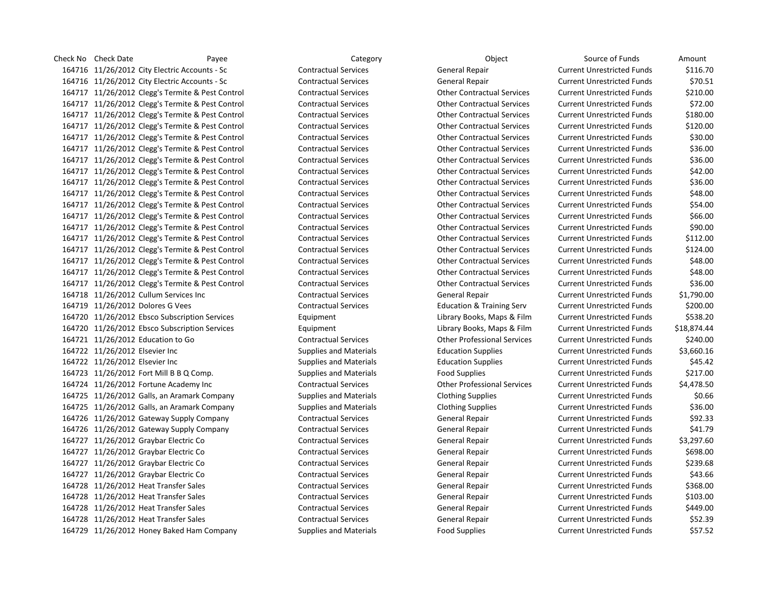Check No Check Date Payee Payee Category Category Check No Check No Cource of Funds Amount 164716 11/26/2012 City Electric Accounts - Sc Contractual Services General Repair Current Unrestricted Funds \$116.70 11/26/2012 City Electric Accounts - Sc Contractual Services General Repair Current Unrestricted Funds \$70.51 11/26/2012 Clegg's Termite & Pest Control Contractual Services Other Contractual Services Current Unrestricted Funds \$210.00 11/26/2012 Clegg's Termite & Pest Control Contractual Services Other Contractual Services Current Unrestricted Funds \$72.00 11/26/2012 Clegg's Termite & Pest Control Contractual Services Other Contractual Services Current Unrestricted Funds \$180.00 11/26/2012 Clegg's Termite & Pest Control Contractual Services Other Contractual Services Current Unrestricted Funds \$120.00 11/26/2012 Clegg's Termite & Pest Control Contractual Services Other Contractual Services Current Unrestricted Funds \$30.00 11/26/2012 Clegg's Termite & Pest Control Contractual Services Other Contractual Services Current Unrestricted Funds \$36.00 11/26/2012 Clegg's Termite & Pest Control Contractual Services Other Contractual Services Current Unrestricted Funds \$36.00 11/26/2012 Clegg's Termite & Pest Control Contractual Services Other Contractual Services Current Unrestricted Funds \$42.00 11/26/2012 Clegg's Termite & Pest Control Contractual Services Other Contractual Services Current Unrestricted Funds \$36.00 11/26/2012 Clegg's Termite & Pest Control Contractual Services Other Contractual Services Current Unrestricted Funds \$48.00 11/26/2012 Clegg's Termite & Pest Control Contractual Services Other Contractual Services Current Unrestricted Funds \$54.00 11/26/2012 Clegg's Termite & Pest Control Contractual Services Other Contractual Services Current Unrestricted Funds \$66.00 11/26/2012 Clegg's Termite & Pest Control Contractual Services Other Contractual Services Current Unrestricted Funds \$90.00 11/26/2012 Clegg's Termite & Pest Control Contractual Services Other Contractual Services Current Unrestricted Funds \$112.00 11/26/2012 Clegg's Termite & Pest Control Contractual Services Other Contractual Services Current Unrestricted Funds \$124.00 11/26/2012 Clegg's Termite & Pest Control Contractual Services Other Contractual Services Current Unrestricted Funds \$48.00 11/26/2012 Clegg's Termite & Pest Control Contractual Services Other Contractual Services Current Unrestricted Funds \$48.00 11/26/2012 Clegg's Termite & Pest Control Contractual Services Other Contractual Services Current Unrestricted Funds \$36.00 11/26/2012 Cullum Services Inc Contractual Services General Repair Current Unrestricted Funds \$1,790.00 11/26/2012 Dolores G Vees Contractual Services Education & Training Serv Current Unrestricted Funds \$200.00 11/26/2012 Ebsco Subscription Services Equipment Library Books, Maps & Film Current Unrestricted Funds \$538.20 11/26/2012 Ebsco Subscription Services Equipment Library Books, Maps & Film Current Unrestricted Funds \$18,874.44 11/26/2012 Education to Go Contractual Services Other Professional Services Current Unrestricted Funds \$240.00 11/26/2012 Elsevier Inc Supplies and Materials Education Supplies Current Unrestricted Funds \$3,660.16 11/26/2012 Elsevier Inc Supplies and Materials Education Supplies Current Unrestricted Funds \$45.42 11/26/2012 Fort Mill B B Q Comp. Supplies and Materials Food Supplies Current Unrestricted Funds \$217.00 11/26/2012 Fortune Academy Inc Contractual Services Other Professional Services Current Unrestricted Funds \$4,478.50 11/26/2012 Galls, an Aramark Company Supplies and Materials Clothing Supplies Current Unrestricted Funds \$0.66 11/26/2012 Galls, an Aramark Company Supplies and Materials Clothing Supplies Current Unrestricted Funds \$36.00 11/26/2012 Gateway Supply Company Contractual Services General Repair Current Unrestricted Funds \$92.33 11/26/2012 Gateway Supply Company Contractual Services General Repair Current Unrestricted Funds \$41.79 11/26/2012 Graybar Electric Co Contractual Services General Repair Current Unrestricted Funds \$3,297.60 11/26/2012 Graybar Electric Co Contractual Services General Repair Current Unrestricted Funds \$698.00 11/26/2012 Graybar Electric Co Contractual Services General Repair Current Unrestricted Funds \$239.68 11/26/2012 Graybar Electric Co Contractual Services General Repair Current Unrestricted Funds \$43.66 11/26/2012 Heat Transfer Sales Contractual Services General Repair Current Unrestricted Funds \$368.00 11/26/2012 Heat Transfer Sales Contractual Services General Repair Current Unrestricted Funds \$103.00 11/26/2012 Heat Transfer Sales Contractual Services General Repair Current Unrestricted Funds \$449.00 11/26/2012 Heat Transfer Sales Contractual Services General Repair Current Unrestricted Funds \$52.39 11/26/2012 Honey Baked Ham Company Supplies and Materials Food Supplies Current Unrestricted Funds \$57.52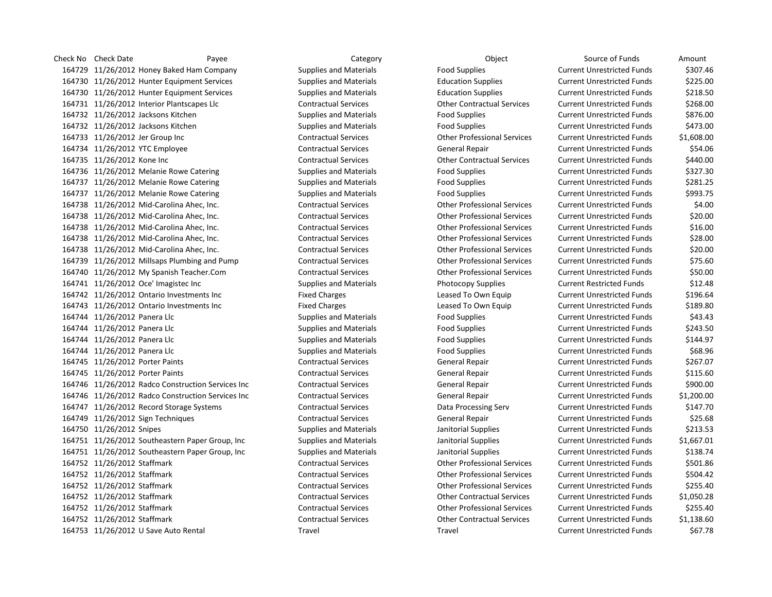Check No Check Date Payee Payee Category Category Check No Check No Cource of Funds Amount 11/26/2012 Honey Baked Ham Company Supplies and Materials Food Supplies Current Unrestricted Funds \$307.46 11/26/2012 Hunter Equipment Services Supplies and Materials Education Supplies Current Unrestricted Funds \$225.00 11/26/2012 Hunter Equipment Services Supplies and Materials Education Supplies Current Unrestricted Funds \$218.50 11/26/2012 Interior Plantscapes Llc Contractual Services Other Contractual Services Current Unrestricted Funds \$268.00 11/26/2012 Jacksons Kitchen Supplies and Materials Food Supplies Current Unrestricted Funds \$876.00 11/26/2012 Jacksons Kitchen Supplies and Materials Food Supplies Current Unrestricted Funds \$473.00 11/26/2012 Jer Group Inc Contractual Services Other Professional Services Current Unrestricted Funds \$1,608.00 11/26/2012 YTC Employee Contractual Services General Repair Current Unrestricted Funds \$54.06 11/26/2012 Kone Inc Contractual Services Other Contractual Services Current Unrestricted Funds \$440.00 164736 11/26/2012 Melanie Rowe Catering Supplies and Materials Food Supplies Current Unrestricted Funds \$327.30 11/26/2012 Melanie Rowe Catering Supplies and Materials Food Supplies Current Unrestricted Funds \$281.25 11/26/2012 Melanie Rowe Catering Supplies and Materials Food Supplies Current Unrestricted Funds \$993.75 11/26/2012 Mid-Carolina Ahec, Inc. Contractual Services Other Professional Services Current Unrestricted Funds \$4.00 11/26/2012 Mid-Carolina Ahec, Inc. Contractual Services Other Professional Services Current Unrestricted Funds \$20.00 11/26/2012 Mid-Carolina Ahec, Inc. Contractual Services Other Professional Services Current Unrestricted Funds \$16.00 11/26/2012 Mid-Carolina Ahec, Inc. Contractual Services Other Professional Services Current Unrestricted Funds \$28.00 11/26/2012 Mid-Carolina Ahec, Inc. Contractual Services Other Professional Services Current Unrestricted Funds \$20.00 11/26/2012 Millsaps Plumbing and Pump Contractual Services Other Professional Services Current Unrestricted Funds \$75.60 11/26/2012 My Spanish Teacher.Com Contractual Services Other Professional Services Current Unrestricted Funds \$50.00 11/26/2012 Oce' Imagistec Inc Supplies and Materials Photocopy Supplies Current Restricted Funds \$12.48 11/26/2012 Ontario Investments Inc Fixed Charges Leased To Own Equip Current Unrestricted Funds \$196.64 11/26/2012 Ontario Investments Inc Fixed Charges Leased To Own Equip Current Unrestricted Funds \$189.80 11/26/2012 Panera Llc Supplies and Materials Food Supplies Current Unrestricted Funds \$43.43 164744 11/26/2012 Panera Llc **Supplies and Materials** Food Supplies Food Supplies Current Unrestricted Funds \$243.50 11/26/2012 Panera Llc Supplies and Materials Food Supplies Current Unrestricted Funds \$144.97 164744 11/26/2012 Panera Llc **Supplies and Materials** Food Supplies Food Supplies Current Unrestricted Funds \$68.96 11/26/2012 Porter Paints Contractual Services General Repair Current Unrestricted Funds \$267.07 11/26/2012 Porter Paints Contractual Services General Repair Current Unrestricted Funds \$115.60 11/26/2012 Radco Construction Services Inc Contractual Services General Repair Current Unrestricted Funds \$900.00 11/26/2012 Radco Construction Services Inc Contractual Services General Repair Current Unrestricted Funds \$1,200.00 11/26/2012 Record Storage Systems Contractual Services Data Processing Serv Current Unrestricted Funds \$147.70 11/26/2012 Sign Techniques Contractual Services General Repair Current Unrestricted Funds \$25.68 11/26/2012 Snipes Supplies and Materials Janitorial Supplies Current Unrestricted Funds \$213.53 11/26/2012 Southeastern Paper Group, Inc Supplies and Materials Janitorial Supplies Current Unrestricted Funds \$1,667.01 11/26/2012 Southeastern Paper Group, Inc Supplies and Materials Janitorial Supplies Current Unrestricted Funds \$138.74 11/26/2012 Staffmark Contractual Services Other Professional Services Current Unrestricted Funds \$501.86 11/26/2012 Staffmark Contractual Services Other Professional Services Current Unrestricted Funds \$504.42 11/26/2012 Staffmark Contractual Services Other Professional Services Current Unrestricted Funds \$255.40 11/26/2012 Staffmark Contractual Services Other Contractual Services Current Unrestricted Funds \$1,050.28 11/26/2012 Staffmark Contractual Services Other Professional Services Current Unrestricted Funds \$255.40 11/26/2012 Staffmark Contractual Services Other Contractual Services Current Unrestricted Funds \$1,138.60 11/26/2012 U Save Auto Rental Travel Travel Current Unrestricted Funds \$67.78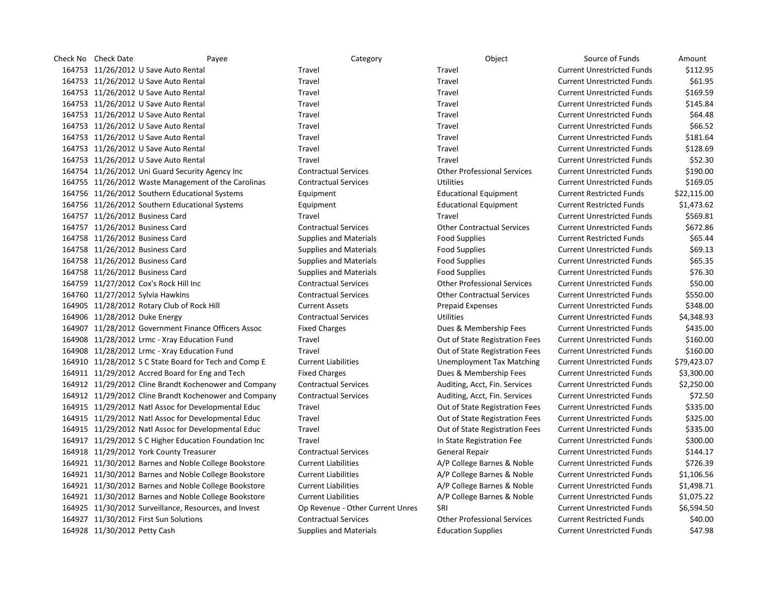| Check No Check Date<br>Payee                          |                            | Category                         | Object                             | Source of Funds                   | Amount      |
|-------------------------------------------------------|----------------------------|----------------------------------|------------------------------------|-----------------------------------|-------------|
| 164753 11/26/2012 U Save Auto Rental                  | <b>Travel</b>              |                                  | Travel                             | <b>Current Unrestricted Funds</b> | \$112.95    |
| 164753 11/26/2012 U Save Auto Rental                  | Travel                     |                                  | Travel                             | <b>Current Unrestricted Funds</b> | \$61.95     |
| 164753 11/26/2012 U Save Auto Rental                  | Travel                     |                                  | Travel                             | <b>Current Unrestricted Funds</b> | \$169.59    |
| 164753 11/26/2012 U Save Auto Rental                  | Travel                     |                                  | Travel                             | <b>Current Unrestricted Funds</b> | \$145.84    |
| 164753 11/26/2012 U Save Auto Rental                  | Travel                     |                                  | Travel                             | <b>Current Unrestricted Funds</b> | \$64.48     |
| 164753 11/26/2012 U Save Auto Rental                  | Travel                     |                                  | Travel                             | <b>Current Unrestricted Funds</b> | \$66.52     |
| 164753 11/26/2012 U Save Auto Rental                  | Travel                     |                                  | Travel                             | <b>Current Unrestricted Funds</b> | \$181.64    |
| 164753 11/26/2012 U Save Auto Rental                  | Travel                     |                                  | Travel                             | <b>Current Unrestricted Funds</b> | \$128.69    |
| 164753 11/26/2012 U Save Auto Rental                  | Travel                     |                                  | Travel                             | <b>Current Unrestricted Funds</b> | \$52.30     |
| 164754 11/26/2012 Uni Guard Security Agency Inc       |                            | <b>Contractual Services</b>      | <b>Other Professional Services</b> | <b>Current Unrestricted Funds</b> | \$190.00    |
| 164755 11/26/2012 Waste Management of the Carolinas   |                            | <b>Contractual Services</b>      | <b>Utilities</b>                   | <b>Current Unrestricted Funds</b> | \$169.05    |
| 164756 11/26/2012 Southern Educational Systems        | Equipment                  |                                  | <b>Educational Equipment</b>       | <b>Current Restricted Funds</b>   | \$22,115.00 |
| 164756 11/26/2012 Southern Educational Systems        | Equipment                  |                                  | <b>Educational Equipment</b>       | <b>Current Restricted Funds</b>   | \$1,473.62  |
| 164757 11/26/2012 Business Card                       | Travel                     |                                  | Travel                             | <b>Current Unrestricted Funds</b> | \$569.81    |
| 164757 11/26/2012 Business Card                       |                            | <b>Contractual Services</b>      | <b>Other Contractual Services</b>  | <b>Current Unrestricted Funds</b> | \$672.86    |
| 164758 11/26/2012 Business Card                       |                            | <b>Supplies and Materials</b>    | <b>Food Supplies</b>               | <b>Current Restricted Funds</b>   | \$65.44     |
| 164758 11/26/2012 Business Card                       |                            | <b>Supplies and Materials</b>    | <b>Food Supplies</b>               | <b>Current Unrestricted Funds</b> | \$69.13     |
| 164758 11/26/2012 Business Card                       |                            | <b>Supplies and Materials</b>    | <b>Food Supplies</b>               | <b>Current Unrestricted Funds</b> | \$65.35     |
| 164758 11/26/2012 Business Card                       |                            | <b>Supplies and Materials</b>    | <b>Food Supplies</b>               | <b>Current Unrestricted Funds</b> | \$76.30     |
| 164759 11/27/2012 Cox's Rock Hill Inc                 |                            | <b>Contractual Services</b>      | <b>Other Professional Services</b> | <b>Current Unrestricted Funds</b> | \$50.00     |
| 164760 11/27/2012 Sylvia Hawkins                      |                            | <b>Contractual Services</b>      | <b>Other Contractual Services</b>  | <b>Current Unrestricted Funds</b> | \$550.00    |
| 164905 11/28/2012 Rotary Club of Rock Hill            | <b>Current Assets</b>      |                                  | <b>Prepaid Expenses</b>            | <b>Current Unrestricted Funds</b> | \$348.00    |
| 164906 11/28/2012 Duke Energy                         |                            | <b>Contractual Services</b>      | Utilities                          | <b>Current Unrestricted Funds</b> | \$4,348.93  |
| 164907 11/28/2012 Government Finance Officers Assoc   | <b>Fixed Charges</b>       |                                  | Dues & Membership Fees             | <b>Current Unrestricted Funds</b> | \$435.00    |
| 164908 11/28/2012 Lrmc - Xray Education Fund          | Travel                     |                                  | Out of State Registration Fees     | <b>Current Unrestricted Funds</b> | \$160.00    |
| 164908 11/28/2012 Lrmc - Xray Education Fund          | Travel                     |                                  | Out of State Registration Fees     | <b>Current Unrestricted Funds</b> | \$160.00    |
| 164910 11/28/2012 S C State Board for Tech and Comp E | <b>Current Liabilities</b> |                                  | <b>Unemployment Tax Matching</b>   | <b>Current Unrestricted Funds</b> | \$79,423.07 |
| 164911 11/29/2012 Accred Board for Eng and Tech       | <b>Fixed Charges</b>       |                                  | Dues & Membership Fees             | <b>Current Unrestricted Funds</b> | \$3,300.00  |
| 164912 11/29/2012 Cline Brandt Kochenower and Company |                            | <b>Contractual Services</b>      | Auditing, Acct, Fin. Services      | <b>Current Unrestricted Funds</b> | \$2,250.00  |
| 164912 11/29/2012 Cline Brandt Kochenower and Company |                            | <b>Contractual Services</b>      | Auditing, Acct, Fin. Services      | <b>Current Unrestricted Funds</b> | \$72.50     |
| 164915 11/29/2012 Natl Assoc for Developmental Educ   | Travel                     |                                  | Out of State Registration Fees     | <b>Current Unrestricted Funds</b> | \$335.00    |
| 164915 11/29/2012 Natl Assoc for Developmental Educ   | Travel                     |                                  | Out of State Registration Fees     | <b>Current Unrestricted Funds</b> | \$325.00    |
| 164915 11/29/2012 Natl Assoc for Developmental Educ   | Travel                     |                                  | Out of State Registration Fees     | <b>Current Unrestricted Funds</b> | \$335.00    |
| 164917 11/29/2012 S C Higher Education Foundation Inc | Travel                     |                                  | In State Registration Fee          | <b>Current Unrestricted Funds</b> | \$300.00    |
| 164918 11/29/2012 York County Treasurer               |                            | <b>Contractual Services</b>      | General Repair                     | <b>Current Unrestricted Funds</b> | \$144.17    |
| 164921 11/30/2012 Barnes and Noble College Bookstore  | <b>Current Liabilities</b> |                                  | A/P College Barnes & Noble         | <b>Current Unrestricted Funds</b> | \$726.39    |
| 164921 11/30/2012 Barnes and Noble College Bookstore  | <b>Current Liabilities</b> |                                  | A/P College Barnes & Noble         | <b>Current Unrestricted Funds</b> | \$1,106.56  |
| 164921 11/30/2012 Barnes and Noble College Bookstore  | <b>Current Liabilities</b> |                                  | A/P College Barnes & Noble         | <b>Current Unrestricted Funds</b> | \$1,498.71  |
| 164921 11/30/2012 Barnes and Noble College Bookstore  | <b>Current Liabilities</b> |                                  | A/P College Barnes & Noble         | <b>Current Unrestricted Funds</b> | \$1,075.22  |
| 164925 11/30/2012 Surveillance, Resources, and Invest |                            | Op Revenue - Other Current Unres | SRI                                | <b>Current Unrestricted Funds</b> | \$6,594.50  |
| 164927 11/30/2012 First Sun Solutions                 |                            | <b>Contractual Services</b>      | <b>Other Professional Services</b> | <b>Current Restricted Funds</b>   | \$40.00     |
| 164928 11/30/2012 Petty Cash                          |                            | <b>Supplies and Materials</b>    | <b>Education Supplies</b>          | <b>Current Unrestricted Funds</b> | \$47.98     |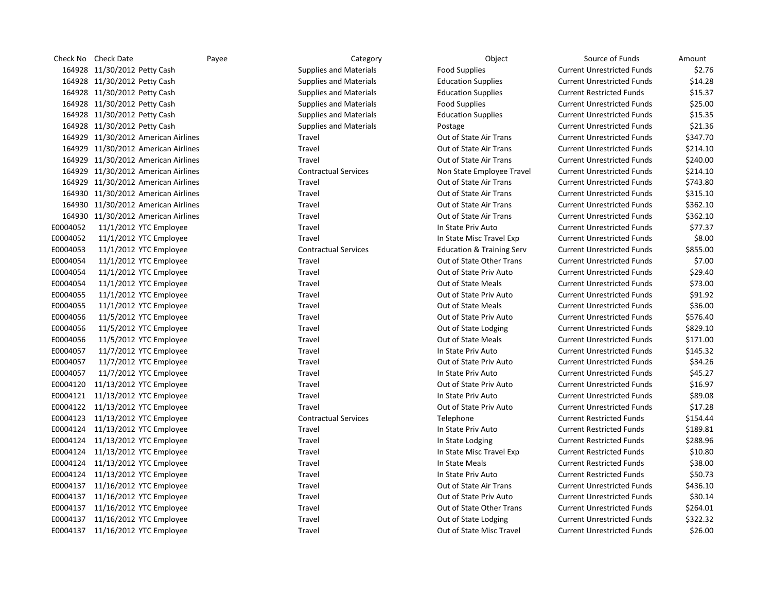|          | Check No Check Date                 | Payee | Category                      | Object                               | Source of Funds                   | Amount   |
|----------|-------------------------------------|-------|-------------------------------|--------------------------------------|-----------------------------------|----------|
|          | 164928 11/30/2012 Petty Cash        |       | <b>Supplies and Materials</b> | <b>Food Supplies</b>                 | <b>Current Unrestricted Funds</b> | \$2.76   |
|          | 164928 11/30/2012 Petty Cash        |       | <b>Supplies and Materials</b> | <b>Education Supplies</b>            | <b>Current Unrestricted Funds</b> | \$14.28  |
|          | 164928 11/30/2012 Petty Cash        |       | <b>Supplies and Materials</b> | <b>Education Supplies</b>            | <b>Current Restricted Funds</b>   | \$15.37  |
|          | 164928 11/30/2012 Petty Cash        |       | <b>Supplies and Materials</b> | <b>Food Supplies</b>                 | <b>Current Unrestricted Funds</b> | \$25.00  |
|          | 164928 11/30/2012 Petty Cash        |       | <b>Supplies and Materials</b> | <b>Education Supplies</b>            | <b>Current Unrestricted Funds</b> | \$15.35  |
|          | 164928 11/30/2012 Petty Cash        |       | <b>Supplies and Materials</b> | Postage                              | <b>Current Unrestricted Funds</b> | \$21.36  |
|          | 164929 11/30/2012 American Airlines |       | Travel                        | Out of State Air Trans               | <b>Current Unrestricted Funds</b> | \$347.70 |
|          | 164929 11/30/2012 American Airlines |       | Travel                        | Out of State Air Trans               | <b>Current Unrestricted Funds</b> | \$214.10 |
|          | 164929 11/30/2012 American Airlines |       | Travel                        | Out of State Air Trans               | <b>Current Unrestricted Funds</b> | \$240.00 |
|          | 164929 11/30/2012 American Airlines |       | <b>Contractual Services</b>   | Non State Employee Travel            | <b>Current Unrestricted Funds</b> | \$214.10 |
|          | 164929 11/30/2012 American Airlines |       | Travel                        | Out of State Air Trans               | <b>Current Unrestricted Funds</b> | \$743.80 |
|          | 164930 11/30/2012 American Airlines |       | Travel                        | Out of State Air Trans               | <b>Current Unrestricted Funds</b> | \$315.10 |
|          | 164930 11/30/2012 American Airlines |       | Travel                        | Out of State Air Trans               | <b>Current Unrestricted Funds</b> | \$362.10 |
|          | 164930 11/30/2012 American Airlines |       | Travel                        | Out of State Air Trans               | <b>Current Unrestricted Funds</b> | \$362.10 |
| E0004052 | 11/1/2012 YTC Employee              |       | Travel                        | In State Priv Auto                   | <b>Current Unrestricted Funds</b> | \$77.37  |
| E0004052 | 11/1/2012 YTC Employee              |       | Travel                        | In State Misc Travel Exp             | <b>Current Unrestricted Funds</b> | \$8.00   |
| E0004053 | 11/1/2012 YTC Employee              |       | <b>Contractual Services</b>   | <b>Education &amp; Training Serv</b> | <b>Current Unrestricted Funds</b> | \$855.00 |
| E0004054 | 11/1/2012 YTC Employee              |       | Travel                        | Out of State Other Trans             | <b>Current Unrestricted Funds</b> | \$7.00   |
| E0004054 | 11/1/2012 YTC Employee              |       | Travel                        | Out of State Priv Auto               | <b>Current Unrestricted Funds</b> | \$29.40  |
| E0004054 | 11/1/2012 YTC Employee              |       | Travel                        | Out of State Meals                   | <b>Current Unrestricted Funds</b> | \$73.00  |
| E0004055 | 11/1/2012 YTC Employee              |       | Travel                        | Out of State Priv Auto               | <b>Current Unrestricted Funds</b> | \$91.92  |
| E0004055 | 11/1/2012 YTC Employee              |       | Travel                        | Out of State Meals                   | <b>Current Unrestricted Funds</b> | \$36.00  |
| E0004056 | 11/5/2012 YTC Employee              |       | Travel                        | Out of State Priv Auto               | <b>Current Unrestricted Funds</b> | \$576.40 |
| E0004056 | 11/5/2012 YTC Employee              |       | Travel                        | Out of State Lodging                 | <b>Current Unrestricted Funds</b> | \$829.10 |
| E0004056 | 11/5/2012 YTC Employee              |       | Travel                        | Out of State Meals                   | <b>Current Unrestricted Funds</b> | \$171.00 |
| E0004057 | 11/7/2012 YTC Employee              |       | Travel                        | In State Priv Auto                   | <b>Current Unrestricted Funds</b> | \$145.32 |
| E0004057 | 11/7/2012 YTC Employee              |       | Travel                        | Out of State Priv Auto               | <b>Current Unrestricted Funds</b> | \$34.26  |
| E0004057 | 11/7/2012 YTC Employee              |       | Travel                        | In State Priv Auto                   | <b>Current Unrestricted Funds</b> | \$45.27  |
| E0004120 | 11/13/2012 YTC Employee             |       | Travel                        | Out of State Priv Auto               | <b>Current Unrestricted Funds</b> | \$16.97  |
|          | E0004121 11/13/2012 YTC Employee    |       | Travel                        | In State Priv Auto                   | <b>Current Unrestricted Funds</b> | \$89.08  |
| E0004122 | 11/13/2012 YTC Employee             |       | Travel                        | Out of State Priv Auto               | <b>Current Unrestricted Funds</b> | \$17.28  |
|          | E0004123 11/13/2012 YTC Employee    |       | <b>Contractual Services</b>   | Telephone                            | <b>Current Restricted Funds</b>   | \$154.44 |
|          | E0004124 11/13/2012 YTC Employee    |       | Travel                        | In State Priv Auto                   | <b>Current Restricted Funds</b>   | \$189.81 |
|          | E0004124 11/13/2012 YTC Employee    |       | Travel                        | In State Lodging                     | <b>Current Restricted Funds</b>   | \$288.96 |
|          | E0004124 11/13/2012 YTC Employee    |       | Travel                        | In State Misc Travel Exp             | <b>Current Restricted Funds</b>   | \$10.80  |
|          | E0004124 11/13/2012 YTC Employee    |       | Travel                        | In State Meals                       | <b>Current Restricted Funds</b>   | \$38.00  |
|          | E0004124 11/13/2012 YTC Employee    |       | Travel                        | In State Priv Auto                   | <b>Current Restricted Funds</b>   | \$50.73  |
|          | E0004137 11/16/2012 YTC Employee    |       | Travel                        | Out of State Air Trans               | <b>Current Unrestricted Funds</b> | \$436.10 |
|          | E0004137 11/16/2012 YTC Employee    |       | Travel                        | Out of State Priv Auto               | <b>Current Unrestricted Funds</b> | \$30.14  |
|          | E0004137 11/16/2012 YTC Employee    |       | Travel                        | Out of State Other Trans             | <b>Current Unrestricted Funds</b> | \$264.01 |
|          | E0004137 11/16/2012 YTC Employee    |       | Travel                        | Out of State Lodging                 | <b>Current Unrestricted Funds</b> | \$322.32 |
|          | F0004137 11/16/2012 YTC Employee    |       | Travel                        | Out of State Misc Travel             | Current Unrestricted Funds        | \$26.00  |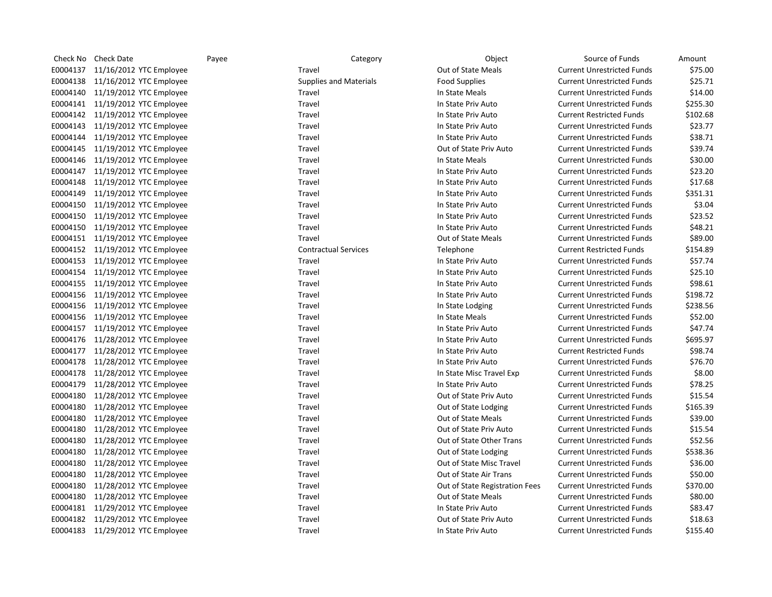| Check No | Check Date                       | Payee | Category                      | Object                         | Source of Funds                   | Amount   |
|----------|----------------------------------|-------|-------------------------------|--------------------------------|-----------------------------------|----------|
| E0004137 | 11/16/2012 YTC Employee          |       | Travel                        | Out of State Meals             | <b>Current Unrestricted Funds</b> | \$75.00  |
| E0004138 | 11/16/2012 YTC Employee          |       | <b>Supplies and Materials</b> | <b>Food Supplies</b>           | <b>Current Unrestricted Funds</b> | \$25.71  |
|          | E0004140 11/19/2012 YTC Employee |       | Travel                        | In State Meals                 | <b>Current Unrestricted Funds</b> | \$14.00  |
|          | E0004141 11/19/2012 YTC Employee |       | Travel                        | In State Priv Auto             | <b>Current Unrestricted Funds</b> | \$255.30 |
|          | E0004142 11/19/2012 YTC Employee |       | Travel                        | In State Priv Auto             | <b>Current Restricted Funds</b>   | \$102.68 |
|          | E0004143 11/19/2012 YTC Employee |       | Travel                        | In State Priv Auto             | <b>Current Unrestricted Funds</b> | \$23.77  |
|          | E0004144 11/19/2012 YTC Employee |       | Travel                        | In State Priv Auto             | <b>Current Unrestricted Funds</b> | \$38.71  |
|          | E0004145 11/19/2012 YTC Employee |       | Travel                        | Out of State Priv Auto         | <b>Current Unrestricted Funds</b> | \$39.74  |
| E0004146 | 11/19/2012 YTC Employee          |       | Travel                        | In State Meals                 | <b>Current Unrestricted Funds</b> | \$30.00  |
|          | E0004147 11/19/2012 YTC Employee |       | Travel                        | In State Priv Auto             | <b>Current Unrestricted Funds</b> | \$23.20  |
| E0004148 | 11/19/2012 YTC Employee          |       | Travel                        | In State Priv Auto             | <b>Current Unrestricted Funds</b> | \$17.68  |
| E0004149 | 11/19/2012 YTC Employee          |       | Travel                        | In State Priv Auto             | <b>Current Unrestricted Funds</b> | \$351.31 |
| E0004150 | 11/19/2012 YTC Employee          |       | Travel                        | In State Priv Auto             | <b>Current Unrestricted Funds</b> | \$3.04   |
| E0004150 | 11/19/2012 YTC Employee          |       | Travel                        | In State Priv Auto             | <b>Current Unrestricted Funds</b> | \$23.52  |
| E0004150 | 11/19/2012 YTC Employee          |       | Travel                        | In State Priv Auto             | <b>Current Unrestricted Funds</b> | \$48.21  |
|          | E0004151 11/19/2012 YTC Employee |       | Travel                        | <b>Out of State Meals</b>      | <b>Current Unrestricted Funds</b> | \$89.00  |
|          | E0004152 11/19/2012 YTC Employee |       | <b>Contractual Services</b>   | Telephone                      | <b>Current Restricted Funds</b>   | \$154.89 |
|          | E0004153 11/19/2012 YTC Employee |       | Travel                        | In State Priv Auto             | <b>Current Unrestricted Funds</b> | \$57.74  |
|          | E0004154 11/19/2012 YTC Employee |       | Travel                        | In State Priv Auto             | <b>Current Unrestricted Funds</b> | \$25.10  |
|          | E0004155 11/19/2012 YTC Employee |       | Travel                        | In State Priv Auto             | <b>Current Unrestricted Funds</b> | \$98.61  |
|          | E0004156 11/19/2012 YTC Employee |       | Travel                        | In State Priv Auto             | <b>Current Unrestricted Funds</b> | \$198.72 |
|          | E0004156 11/19/2012 YTC Employee |       | Travel                        | In State Lodging               | <b>Current Unrestricted Funds</b> | \$238.56 |
|          | E0004156 11/19/2012 YTC Employee |       | Travel                        | In State Meals                 | <b>Current Unrestricted Funds</b> | \$52.00  |
|          | E0004157 11/19/2012 YTC Employee |       | Travel                        | In State Priv Auto             | <b>Current Unrestricted Funds</b> | \$47.74  |
|          | E0004176 11/28/2012 YTC Employee |       | Travel                        | In State Priv Auto             | <b>Current Unrestricted Funds</b> | \$695.97 |
| E0004177 | 11/28/2012 YTC Employee          |       | Travel                        | In State Priv Auto             | <b>Current Restricted Funds</b>   | \$98.74  |
|          | E0004178 11/28/2012 YTC Employee |       | Travel                        | In State Priv Auto             | <b>Current Unrestricted Funds</b> | \$76.70  |
| E0004178 | 11/28/2012 YTC Employee          |       | Travel                        | In State Misc Travel Exp       | <b>Current Unrestricted Funds</b> | \$8.00   |
| E0004179 | 11/28/2012 YTC Employee          |       | Travel                        | In State Priv Auto             | <b>Current Unrestricted Funds</b> | \$78.25  |
| E0004180 | 11/28/2012 YTC Employee          |       | Travel                        | Out of State Priv Auto         | <b>Current Unrestricted Funds</b> | \$15.54  |
| E0004180 | 11/28/2012 YTC Employee          |       | Travel                        | Out of State Lodging           | <b>Current Unrestricted Funds</b> | \$165.39 |
| E0004180 | 11/28/2012 YTC Employee          |       | Travel                        | Out of State Meals             | <b>Current Unrestricted Funds</b> | \$39.00  |
| E0004180 | 11/28/2012 YTC Employee          |       | Travel                        | Out of State Priv Auto         | <b>Current Unrestricted Funds</b> | \$15.54  |
| E0004180 | 11/28/2012 YTC Employee          |       | Travel                        | Out of State Other Trans       | <b>Current Unrestricted Funds</b> | \$52.56  |
| E0004180 | 11/28/2012 YTC Employee          |       | Travel                        | Out of State Lodging           | <b>Current Unrestricted Funds</b> | \$538.36 |
| E0004180 | 11/28/2012 YTC Employee          |       | Travel                        | Out of State Misc Travel       | <b>Current Unrestricted Funds</b> | \$36.00  |
| E0004180 | 11/28/2012 YTC Employee          |       | Travel                        | Out of State Air Trans         | <b>Current Unrestricted Funds</b> | \$50.00  |
| E0004180 | 11/28/2012 YTC Employee          |       | Travel                        | Out of State Registration Fees | <b>Current Unrestricted Funds</b> | \$370.00 |
| E0004180 | 11/28/2012 YTC Employee          |       | Travel                        | Out of State Meals             | <b>Current Unrestricted Funds</b> | \$80.00  |
|          | E0004181 11/29/2012 YTC Employee |       | Travel                        | In State Priv Auto             | <b>Current Unrestricted Funds</b> | \$83.47  |
|          | E0004182 11/29/2012 YTC Employee |       | Travel                        | Out of State Priv Auto         | <b>Current Unrestricted Funds</b> | \$18.63  |
|          | E0004183 11/29/2012 YTC Employee |       | Travel                        | In State Priv Auto             | <b>Current Unrestricted Funds</b> | \$155.40 |
|          |                                  |       |                               |                                |                                   |          |